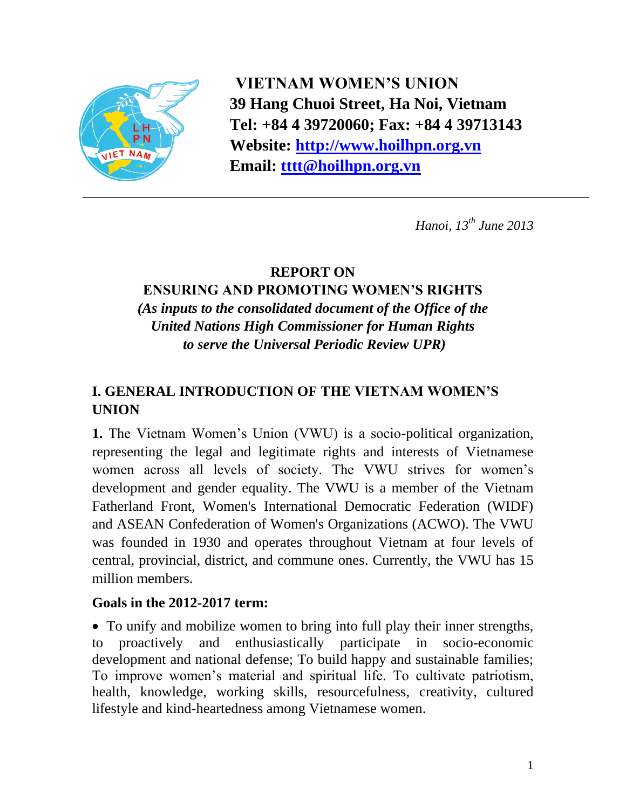

**VIETNAM WOMEN'S UNION 39 Hang Chuoi Street, Ha Noi, Vietnam Tel: +84 4 39720060; Fax: +84 4 39713143 Website: [http://www.hoilhpn.org.vn](http://www.hoilhpn.org.vn/) Email: [tttt@hoilhpn.org.vn](mailto:tttt@hoilhpn.org.vn)**

*Hanoi, 13th June 2013*

## **REPORT ON**

### **ENSURING AND PROMOTING WOMEN'S RIGHTS**  *(As inputs to the consolidated document of the Office of the United Nations High Commissioner for Human Rights to serve the Universal Periodic Review UPR)*

# **I. GENERAL INTRODUCTION OF THE VIETNAM WOMEN'S UNION**

**1.** The Vietnam Women's Union (VWU) is a socio-political organization, representing the legal and legitimate rights and interests of Vietnamese women across all levels of society. The VWU strives for women's development and gender equality. The VWU is a member of the Vietnam Fatherland Front, Women's International Democratic Federation (WIDF) and ASEAN Confederation of Women's Organizations (ACWO). The VWU was founded in 1930 and operates throughout Vietnam at four levels of central, provincial, district, and commune ones. Currently, the VWU has 15 million members.

### **Goals in the 2012-2017 term:**

 To unify and mobilize women to bring into full play their inner strengths, to proactively and enthusiastically participate in socio-economic development and national defense; To build happy and sustainable families; To improve women's material and spiritual life. To cultivate patriotism, health, knowledge, working skills, resourcefulness, creativity, cultured lifestyle and kind-heartedness among Vietnamese women.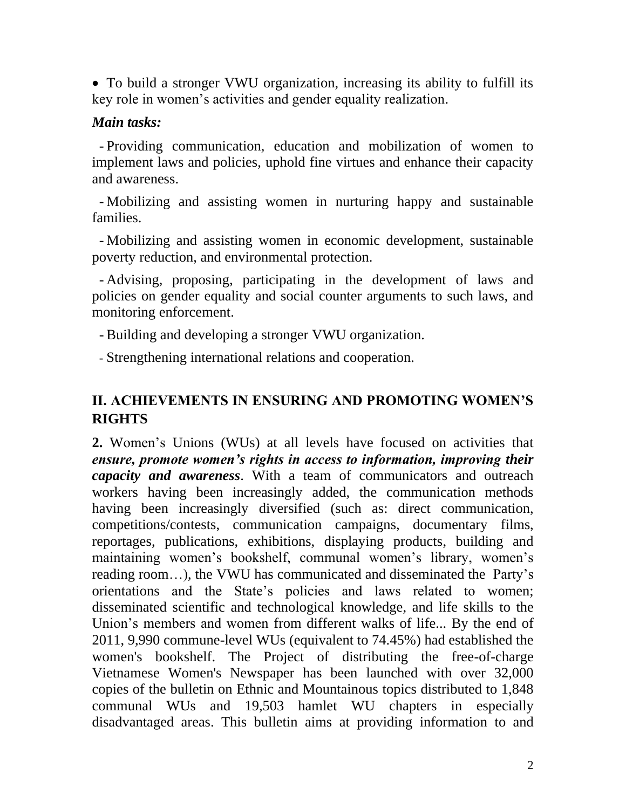To build a stronger VWU organization, increasing its ability to fulfill its key role in women's activities and gender equality realization.

#### *Main tasks:*

- Providing communication, education and mobilization of women to implement laws and policies, uphold fine virtues and enhance their capacity and awareness.

- Mobilizing and assisting women in nurturing happy and sustainable families.

- Mobilizing and assisting women in economic development, sustainable poverty reduction, and environmental protection.

- Advising, proposing, participating in the development of laws and policies on gender equality and social counter arguments to such laws, and monitoring enforcement.

- Building and developing a stronger VWU organization.

- Strengthening international relations and cooperation.

## **II. ACHIEVEMENTS IN ENSURING AND PROMOTING WOMEN'S RIGHTS**

**2.** Women's Unions (WUs) at all levels have focused on activities that *ensure, promote women's rights in access to information, improving their capacity and awareness*. With a team of communicators and outreach workers having been increasingly added, the communication methods having been increasingly diversified (such as: direct communication, competitions/contests, communication campaigns, documentary films, reportages, publications, exhibitions, displaying products, building and maintaining women's bookshelf, communal women's library, women's reading room…), the VWU has communicated and disseminated the Party's orientations and the State's policies and laws related to women; disseminated scientific and technological knowledge, and life skills to the Union's members and women from different walks of life... By the end of 2011, 9,990 commune-level WUs (equivalent to 74.45%) had established the women's bookshelf. The Project of distributing the free-of-charge Vietnamese Women's Newspaper has been launched with over 32,000 copies of the bulletin on Ethnic and Mountainous topics distributed to 1,848 communal WUs and 19,503 hamlet WU chapters in especially disadvantaged areas. This bulletin aims at providing information to and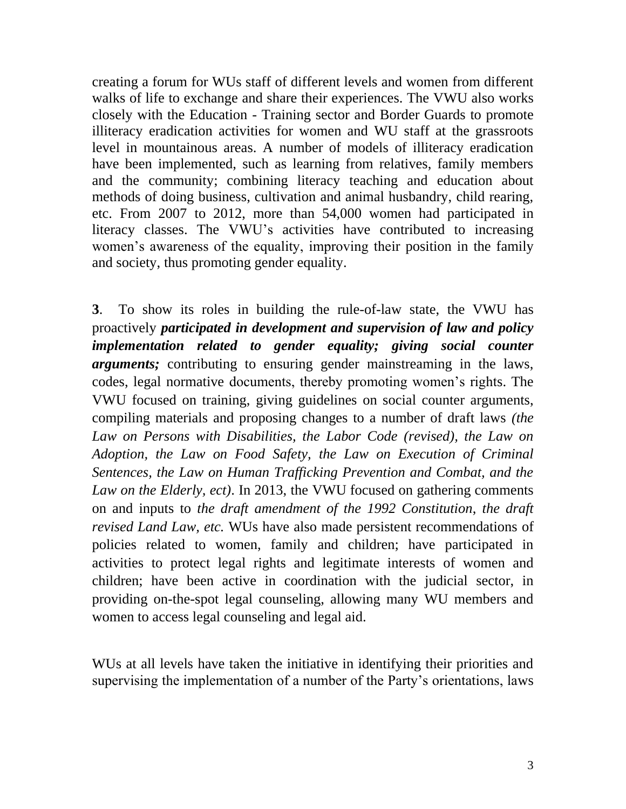creating a forum for WUs staff of different levels and women from different walks of life to exchange and share their experiences. The VWU also works closely with the Education - Training sector and Border Guards to promote illiteracy eradication activities for women and WU staff at the grassroots level in mountainous areas. A number of models of illiteracy eradication have been implemented, such as learning from relatives, family members and the community; combining literacy teaching and education about methods of doing business, cultivation and animal husbandry, child rearing, etc. From 2007 to 2012, more than 54,000 women had participated in literacy classes. The VWU's activities have contributed to increasing women's awareness of the equality, improving their position in the family and society, thus promoting gender equality.

**3**. To show its roles in building the rule-of-law state, the VWU has proactively *participated in development and supervision of law and policy implementation related to gender equality; giving social counter arguments;* contributing to ensuring gender mainstreaming in the laws, codes, legal normative documents, thereby promoting women's rights. The VWU focused on training, giving guidelines on social counter arguments, compiling materials and proposing changes to a number of draft laws *(the Law on Persons with Disabilities, the Labor Code (revised), the Law on Adoption, the Law on Food Safety, the Law on Execution of Criminal Sentences, the Law on Human Trafficking Prevention and Combat, and the Law on the Elderly, ect)*. In 2013, the VWU focused on gathering comments on and inputs to *the draft amendment of the 1992 Constitution*, *the draft revised Land Law, etc.* WUs have also made persistent recommendations of policies related to women, family and children; have participated in activities to protect legal rights and legitimate interests of women and children; have been active in coordination with the judicial sector, in providing on-the-spot legal counseling, allowing many WU members and women to access legal counseling and legal aid.

WUs at all levels have taken the initiative in identifying their priorities and supervising the implementation of a number of the Party's orientations, laws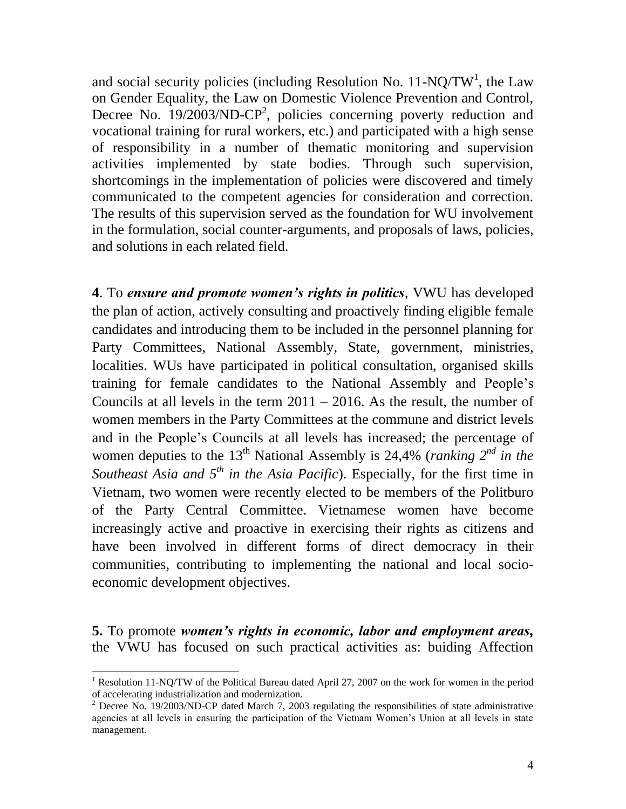and social security policies (including Resolution No.  $11-NQ/TW<sup>1</sup>$ , the Law on Gender Equality, the Law on Domestic Violence Prevention and Control, Decree No.  $19/2003/ND-CP<sup>2</sup>$ , policies concerning poverty reduction and vocational training for rural workers, etc.) and participated with a high sense of responsibility in a number of thematic monitoring and supervision activities implemented by state bodies. Through such supervision, shortcomings in the implementation of policies were discovered and timely communicated to the competent agencies for consideration and correction. The results of this supervision served as the foundation for WU involvement in the formulation, social counter-arguments, and proposals of laws, policies, and solutions in each related field.

**4**. To *ensure and promote women's rights in politics*, VWU has developed the plan of action, actively consulting and proactively finding eligible female candidates and introducing them to be included in the personnel planning for Party Committees, National Assembly, State, government, ministries, localities. WUs have participated in political consultation, organised skills training for female candidates to the National Assembly and People's Councils at all levels in the term  $2011 - 2016$ . As the result, the number of women members in the Party Committees at the commune and district levels and in the People's Councils at all levels has increased; the percentage of women deputies to the  $13<sup>th</sup>$  National Assembly is 24,4% (*ranking*  $2<sup>nd</sup>$  *in the Southeast Asia and 5<sup>th</sup> in the Asia Pacific*). Especially, for the first time in Vietnam, two women were recently elected to be members of the Politburo of the Party Central Committee. Vietnamese women have become increasingly active and proactive in exercising their rights as citizens and have been involved in different forms of direct democracy in their communities, contributing to implementing the national and local socioeconomic development objectives.

**5.** To promote *women's rights in economic, labor and employment areas,* the VWU has focused on such practical activities as: buiding Affection

 $\overline{a}$ 

<sup>1</sup> Resolution 11-NQ/TW of the Political Bureau dated April 27, 2007 on the work for women in the period of accelerating industrialization and modernization.

<sup>&</sup>lt;sup>2</sup> Decree No. 19/2003/ND-CP dated March 7, 2003 regulating the responsibilities of state administrative agencies at all levels in ensuring the participation of the Vietnam Women's Union at all levels in state management.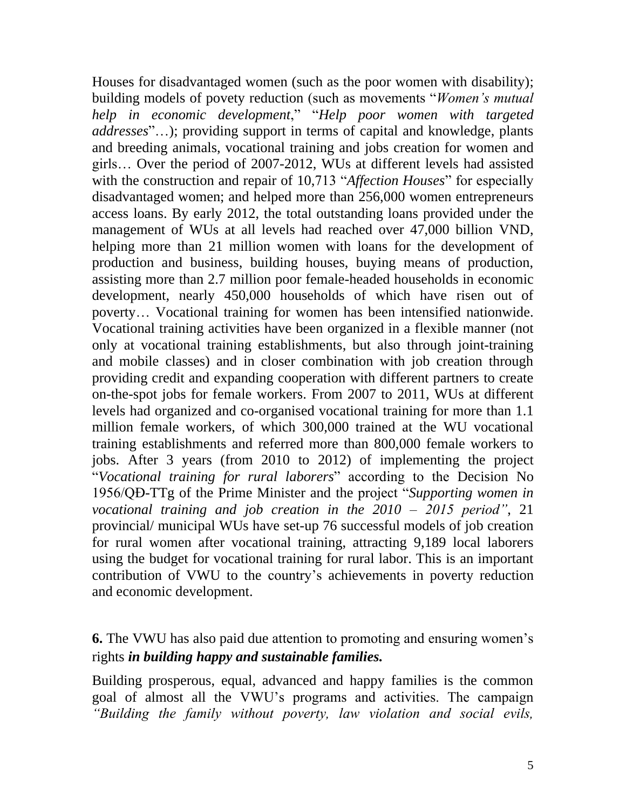Houses for disadvantaged women (such as the poor women with disability); building models of povety reduction (such as movements "*Women's mutual help in economic development*," "*Help poor women with targeted addresses*"…); providing support in terms of capital and knowledge, plants and breeding animals, vocational training and jobs creation for women and girls… Over the period of 2007-2012, WUs at different levels had assisted with the construction and repair of 10,713 "*Affection Houses*" for especially disadvantaged women; and helped more than 256,000 women entrepreneurs access loans. By early 2012, the total outstanding loans provided under the management of WUs at all levels had reached over 47,000 billion VND, helping more than 21 million women with loans for the development of production and business, building houses, buying means of production, assisting more than 2.7 million poor female-headed households in economic development, nearly 450,000 households of which have risen out of poverty… Vocational training for women has been intensified nationwide. Vocational training activities have been organized in a flexible manner (not only at vocational training establishments, but also through joint-training and mobile classes) and in closer combination with job creation through providing credit and expanding cooperation with different partners to create on-the-spot jobs for female workers. From 2007 to 2011, WUs at different levels had organized and co-organised vocational training for more than 1.1 million female workers, of which 300,000 trained at the WU vocational training establishments and referred more than 800,000 female workers to jobs. After 3 years (from 2010 to 2012) of implementing the project "*Vocational training for rural laborers*" according to the Decision No 1956/QĐ-TTg of the Prime Minister and the project "*Supporting women in vocational training and job creation in the 2010 – 2015 period"*, 21 provincial/ municipal WUs have set-up 76 successful models of job creation for rural women after vocational training, attracting 9,189 local laborers using the budget for vocational training for rural labor. This is an important contribution of VWU to the country's achievements in poverty reduction and economic development.

## **6.** The VWU has also paid due attention to promoting and ensuring women's rights *in building happy and sustainable families.*

Building prosperous, equal, advanced and happy families is the common goal of almost all the VWU's programs and activities. The campaign *"Building the family without poverty, law violation and social evils,*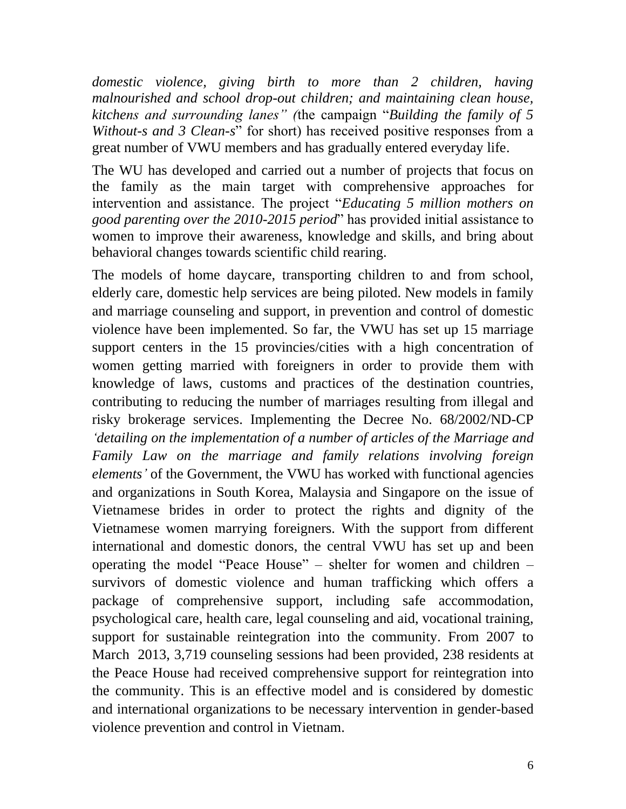*domestic violence, giving birth to more than 2 children, having malnourished and school drop-out children; and maintaining clean house, kitchens and surrounding lanes" (*the campaign "*Building the family of 5 Without-s and 3 Clean-s*" for short) has received positive responses from a great number of VWU members and has gradually entered everyday life.

The WU has developed and carried out a number of projects that focus on the family as the main target with comprehensive approaches for intervention and assistance. The project "*Educating 5 million mothers on good parenting over the 2010-2015 period*" has provided initial assistance to women to improve their awareness, knowledge and skills, and bring about behavioral changes towards scientific child rearing.

The models of home daycare, transporting children to and from school, elderly care, domestic help services are being piloted. New models in family and marriage counseling and support, in prevention and control of domestic violence have been implemented. So far, the VWU has set up 15 marriage support centers in the 15 provincies/cities with a high concentration of women getting married with foreigners in order to provide them with knowledge of laws, customs and practices of the destination countries, contributing to reducing the number of marriages resulting from illegal and risky brokerage services. Implementing the Decree No. 68/2002/ND-CP *'detailing on the implementation of a number of articles of the Marriage and Family Law on the marriage and family relations involving foreign elements'* of the Government, the VWU has worked with functional agencies and organizations in South Korea, Malaysia and Singapore on the issue of Vietnamese brides in order to protect the rights and dignity of the Vietnamese women marrying foreigners. With the support from different international and domestic donors, the central VWU has set up and been operating the model "Peace House" – shelter for women and children – survivors of domestic violence and human trafficking which offers a package of comprehensive support, including safe accommodation, psychological care, health care, legal counseling and aid, vocational training, support for sustainable reintegration into the community. From 2007 to March 2013, 3,719 counseling sessions had been provided, 238 residents at the Peace House had received comprehensive support for reintegration into the community. This is an effective model and is considered by domestic and international organizations to be necessary intervention in gender-based violence prevention and control in Vietnam.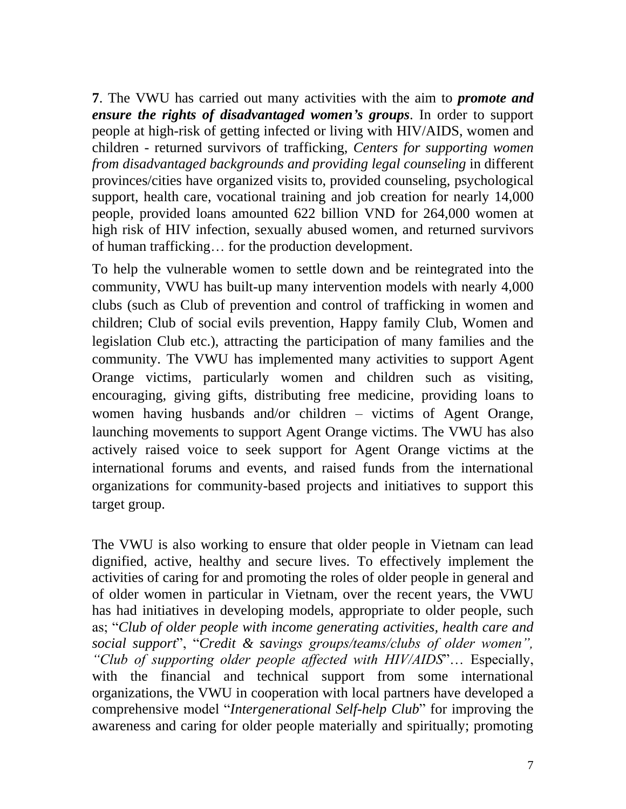**7**. The VWU has carried out many activities with the aim to *promote and ensure the rights of disadvantaged women's groups*. In order to support people at high-risk of getting infected or living with HIV/AIDS, women and children - returned survivors of trafficking, *Centers for supporting women from disadvantaged backgrounds and providing legal counseling* in different provinces/cities have organized visits to, provided counseling, psychological support, health care, vocational training and job creation for nearly 14,000 people, provided loans amounted 622 billion VND for 264,000 women at high risk of HIV infection, sexually abused women, and returned survivors of human trafficking… for the production development.

To help the vulnerable women to settle down and be reintegrated into the community, VWU has built-up many intervention models with nearly 4,000 clubs (such as Club of prevention and control of trafficking in women and children; Club of social evils prevention, Happy family Club, Women and legislation Club etc.), attracting the participation of many families and the community. The VWU has implemented many activities to support Agent Orange victims, particularly women and children such as visiting, encouraging, giving gifts, distributing free medicine, providing loans to women having husbands and/or children – victims of Agent Orange, launching movements to support Agent Orange victims. The VWU has also actively raised voice to seek support for Agent Orange victims at the international forums and events, and raised funds from the international organizations for community-based projects and initiatives to support this target group.

The VWU is also working to ensure that older people in Vietnam can lead dignified, active, healthy and secure lives. To effectively implement the activities of caring for and promoting the roles of older people in general and of older women in particular in Vietnam, over the recent years, the VWU has had initiatives in developing models, appropriate to older people, such as; "*Club of older people with income generating activities, health care and social support*", "*Credit & savings groups/teams/clubs of older women", "Club of supporting older people affected with HIV/AIDS*"… Especially, with the financial and technical support from some international organizations, the VWU in cooperation with local partners have developed a comprehensive model "*Intergenerational Self-help Club*" for improving the awareness and caring for older people materially and spiritually; promoting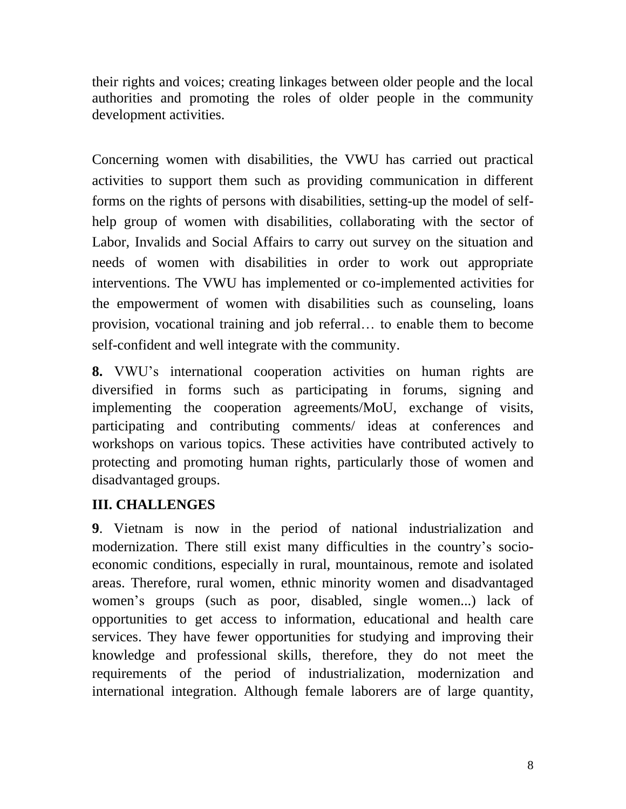their rights and voices; creating linkages between older people and the local authorities and promoting the roles of older people in the community development activities.

Concerning women with disabilities, the VWU has carried out practical activities to support them such as providing communication in different forms on the rights of persons with disabilities, setting-up the model of selfhelp group of women with disabilities, collaborating with the sector of Labor, Invalids and Social Affairs to carry out survey on the situation and needs of women with disabilities in order to work out appropriate interventions. The VWU has implemented or co-implemented activities for the empowerment of women with disabilities such as counseling, loans provision, vocational training and job referral… to enable them to become self-confident and well integrate with the community.

**8.** VWU's international cooperation activities on human rights are diversified in forms such as participating in forums, signing and implementing the cooperation agreements/MoU, exchange of visits, participating and contributing comments/ ideas at conferences and workshops on various topics. These activities have contributed actively to protecting and promoting human rights, particularly those of women and disadvantaged groups.

# **III. CHALLENGES**

**9**. Vietnam is now in the period of national industrialization and modernization. There still exist many difficulties in the country's socioeconomic conditions, especially in rural, mountainous, remote and isolated areas. Therefore, rural women, ethnic minority women and disadvantaged women's groups (such as poor, disabled, single women...) lack of opportunities to get access to information, educational and health care services. They have fewer opportunities for studying and improving their knowledge and professional skills, therefore, they do not meet the requirements of the period of industrialization, modernization and international integration. Although female laborers are of large quantity,